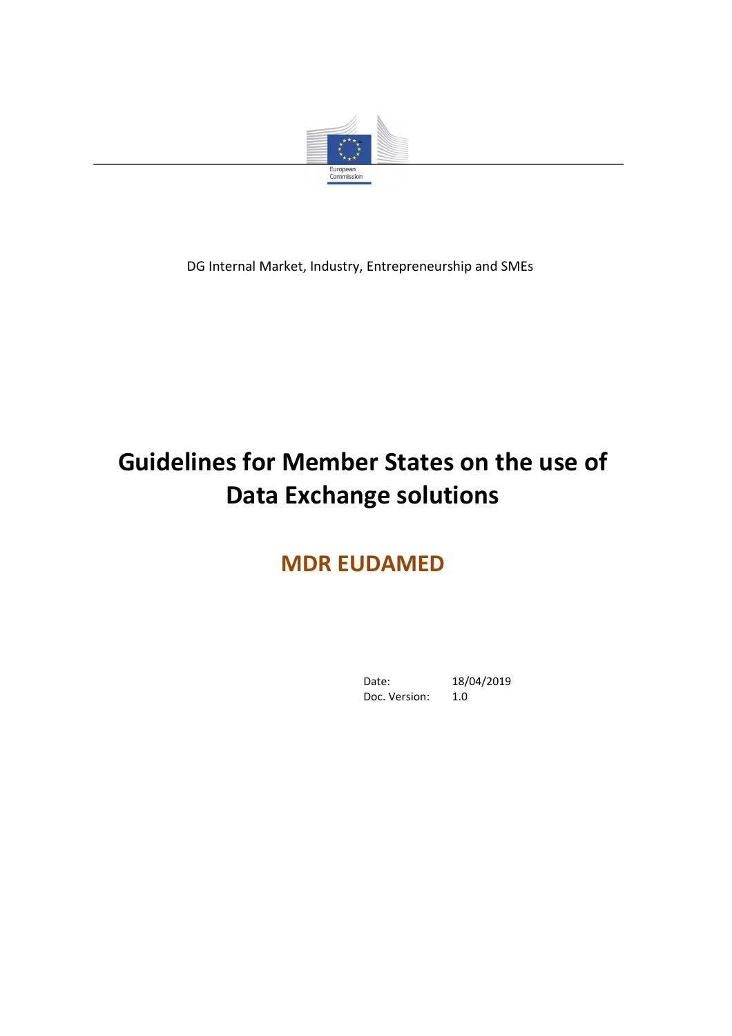

DG Internal Market, Industry, Entrepreneurship and SMEs

# **Guidelines for Member States on the use of Data Exchange solutions**

# **MDR EUDAMED**

Date: 18/04/2019<br>Doc. Version: 1.0 Doc. Version: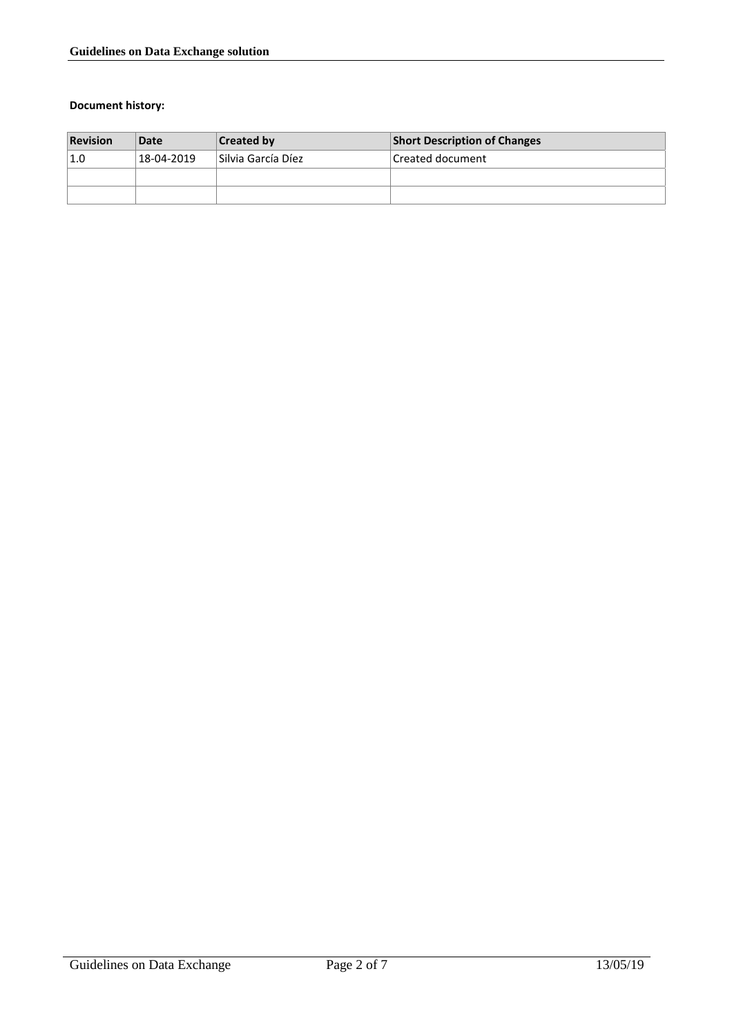#### **Document history:**

| <b>Revision</b> | Date       | <b>Created by</b>  | <b>Short Description of Changes</b> |
|-----------------|------------|--------------------|-------------------------------------|
| 1.0             | 18-04-2019 | Silvia García Díez | Created document                    |
|                 |            |                    |                                     |
|                 |            |                    |                                     |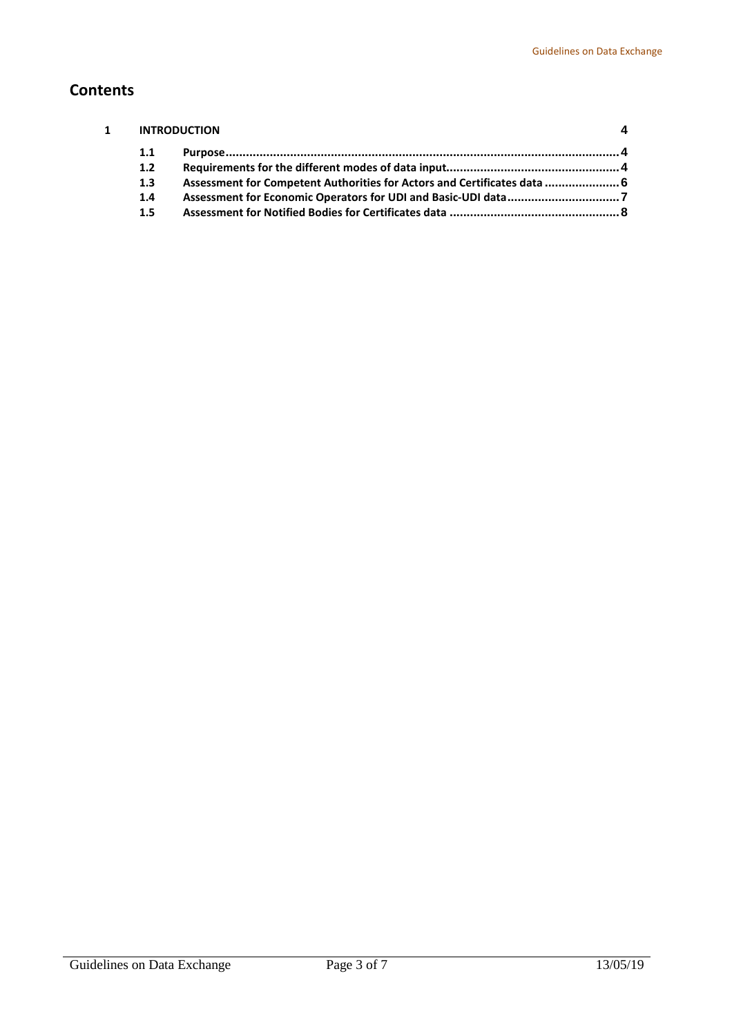## **Contents**

| $\mathbf{1}$ | <b>INTRODUCTION</b> |                                                                          |  |
|--------------|---------------------|--------------------------------------------------------------------------|--|
|              | 1.1                 |                                                                          |  |
|              | 1.2                 |                                                                          |  |
|              | 1.3                 | Assessment for Competent Authorities for Actors and Certificates data  6 |  |
|              | 1.4                 |                                                                          |  |
|              | $1.5\phantom{0}$    |                                                                          |  |
|              |                     |                                                                          |  |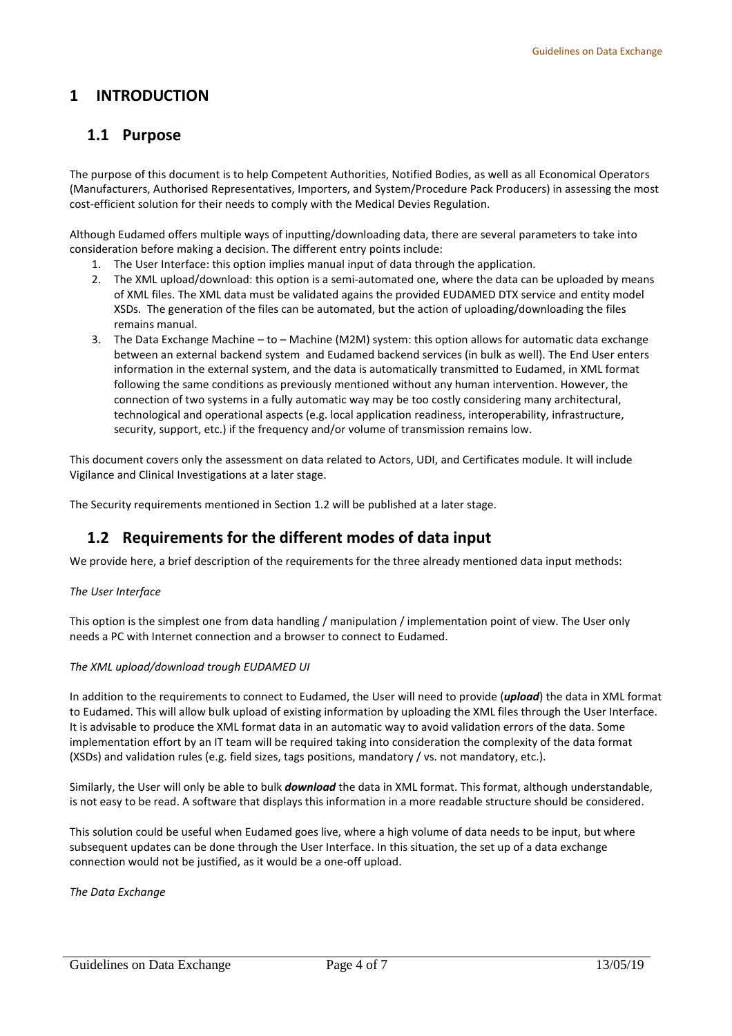#### <span id="page-3-1"></span><span id="page-3-0"></span>**1 INTRODUCTION**

### **1.1 Purpose**

The purpose of this document is to help Competent Authorities, Notified Bodies, as well as all Economical Operators (Manufacturers, Authorised Representatives, Importers, and System/Procedure Pack Producers) in assessing the most cost-efficient solution for their needs to comply with the Medical Devies Regulation.

Although Eudamed offers multiple ways of inputting/downloading data, there are several parameters to take into consideration before making a decision. The different entry points include:

- 1. The User Interface: this option implies manual input of data through the application.
- 2. The XML upload/download: this option is a semi-automated one, where the data can be uploaded by means of XML files. The XML data must be validated agains the provided EUDAMED DTX service and entity model XSDs. The generation of the files can be automated, but the action of uploading/downloading the files remains manual.
- 3. The Data Exchange Machine to Machine (M2M) system: this option allows for automatic data exchange between an external backend system and Eudamed backend services (in bulk as well). The End User enters information in the external system, and the data is automatically transmitted to Eudamed, in XML format following the same conditions as previously mentioned without any human intervention. However, the connection of two systems in a fully automatic way may be too costly considering many architectural, technological and operational aspects (e.g. local application readiness, interoperability, infrastructure, security, support, etc.) if the frequency and/or volume of transmission remains low.

This document covers only the assessment on data related to Actors, UDI, and Certificates module. It will include Vigilance and Clinical Investigations at a later stage.

<span id="page-3-2"></span>The Security requirements mentioned in Section 1.2 will be published at a later stage.

#### **1.2 Requirements for the different modes of data input**

We provide here, a brief description of the requirements for the three already mentioned data input methods:

#### *The User Interface*

This option is the simplest one from data handling / manipulation / implementation point of view. The User only needs a PC with Internet connection and a browser to connect to Eudamed.

#### *The XML upload/download trough EUDAMED UI*

In addition to the requirements to connect to Eudamed, the User will need to provide (*upload*) the data in XML format to Eudamed. This will allow bulk upload of existing information by uploading the XML files through the User Interface. It is advisable to produce the XML format data in an automatic way to avoid validation errors of the data. Some implementation effort by an IT team will be required taking into consideration the complexity of the data format (XSDs) and validation rules (e.g. field sizes, tags positions, mandatory / vs. not mandatory, etc.).

Similarly, the User will only be able to bulk *download* the data in XML format. This format, although understandable, is not easy to be read. A software that displays this information in a more readable structure should be considered.

This solution could be useful when Eudamed goes live, where a high volume of data needs to be input, but where subsequent updates can be done through the User Interface. In this situation, the set up of a data exchange connection would not be justified, as it would be a one-off upload.

*The Data Exchange*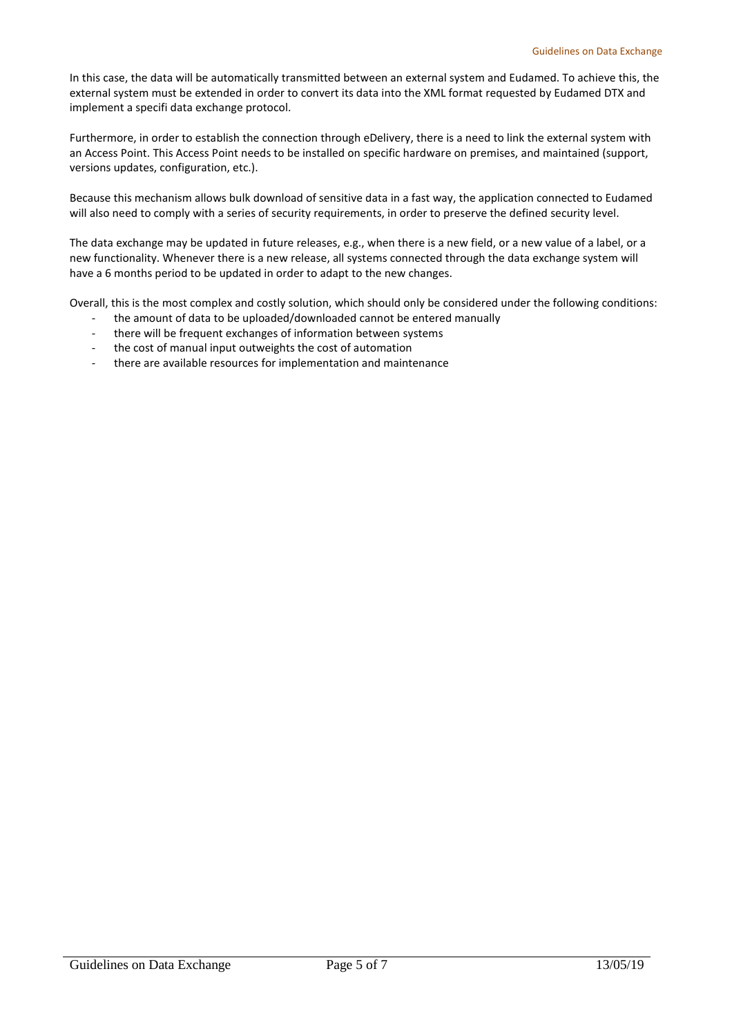In this case, the data will be automatically transmitted between an external system and Eudamed. To achieve this, the external system must be extended in order to convert its data into the XML format requested by Eudamed DTX and implement a specifi data exchange protocol.

Furthermore, in order to establish the connection through eDelivery, there is a need to link the external system with an Access Point. This Access Point needs to be installed on specific hardware on premises, and maintained (support, versions updates, configuration, etc.).

Because this mechanism allows bulk download of sensitive data in a fast way, the application connected to Eudamed will also need to comply with a series of security requirements, in order to preserve the defined security level.

The data exchange may be updated in future releases, e.g., when there is a new field, or a new value of a label, or a new functionality. Whenever there is a new release, all systems connected through the data exchange system will have a 6 months period to be updated in order to adapt to the new changes.

Overall, this is the most complex and costly solution, which should only be considered under the following conditions:

- the amount of data to be uploaded/downloaded cannot be entered manually
- there will be frequent exchanges of information between systems
- the cost of manual input outweights the cost of automation
- there are available resources for implementation and maintenance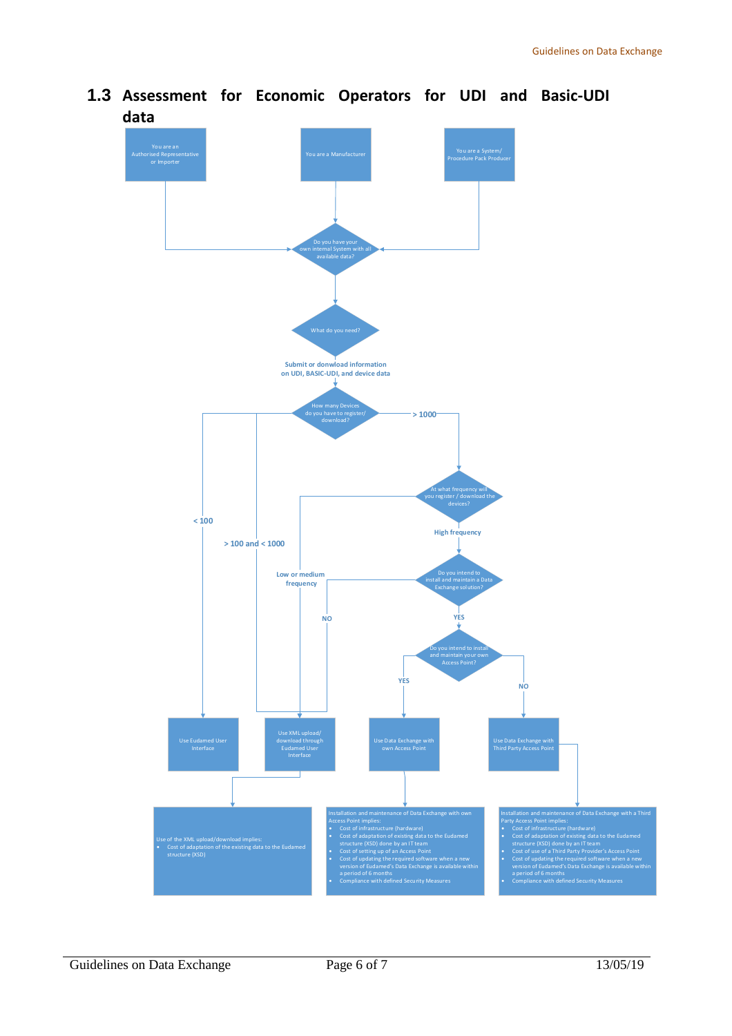

<span id="page-5-0"></span>**1.3 Assessment for Economic Operators for UDI and Basic-UDI data**